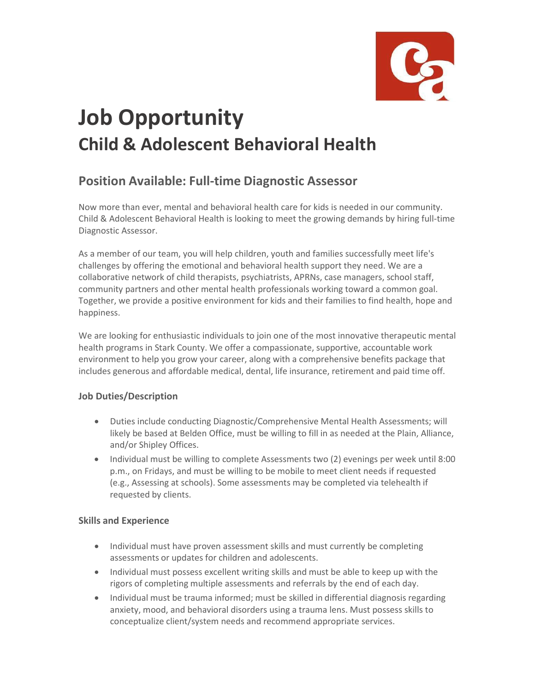

# **Job Opportunity Child & Adolescent Behavioral Health**

# **Position Available: Full-time Diagnostic Assessor**

Now more than ever, mental and behavioral health care for kids is needed in our community. Child & Adolescent Behavioral Health is looking to meet the growing demands by hiring full-time Diagnostic Assessor.

As a member of our team, you will help children, youth and families successfully meet life's challenges by offering the emotional and behavioral health support they need. We are a collaborative network of child therapists, psychiatrists, APRNs, case managers, school staff, community partners and other mental health professionals working toward a common goal. Together, we provide a positive environment for kids and their families to find health, hope and happiness.

We are looking for enthusiastic individuals to join one of the most innovative therapeutic mental health programs in Stark County. We offer a compassionate, supportive, accountable work environment to help you grow your career, along with a comprehensive benefits package that includes generous and affordable medical, dental, life insurance, retirement and paid time off.

## **Job Duties/Description**

- Duties include conducting Diagnostic/Comprehensive Mental Health Assessments; will likely be based at Belden Office, must be willing to fill in as needed at the Plain, Alliance, and/or Shipley Offices.
- Individual must be willing to complete Assessments two (2) evenings per week until 8:00 p.m., on Fridays, and must be willing to be mobile to meet client needs if requested (e.g., Assessing at schools). Some assessments may be completed via telehealth if requested by clients.

### **Skills and Experience**

- Individual must have proven assessment skills and must currently be completing assessments or updates for children and adolescents.
- Individual must possess excellent writing skills and must be able to keep up with the rigors of completing multiple assessments and referrals by the end of each day.
- Individual must be trauma informed; must be skilled in differential diagnosis regarding anxiety, mood, and behavioral disorders using a trauma lens. Must possess skills to conceptualize client/system needs and recommend appropriate services.